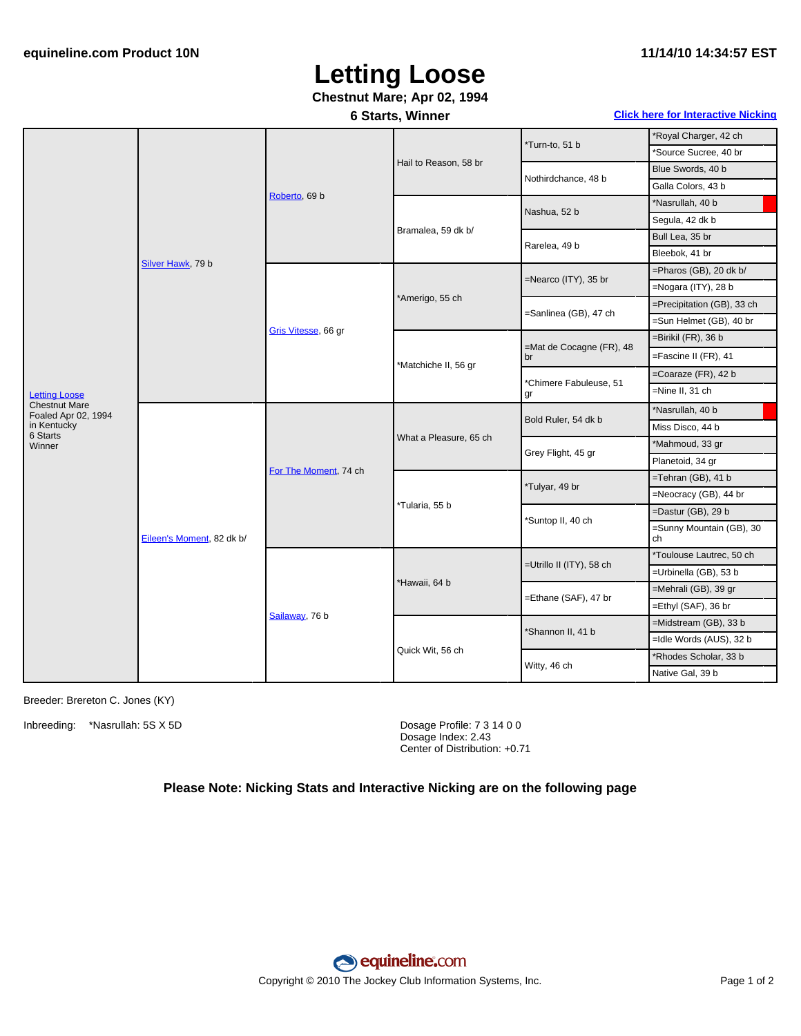## **Letting Loose**

### **Chestnut Mare; Apr 02, 1994**

**6 Starts, Winner Click here for [Interactive](#page-1-0) Nicking**

| *Royal Charger, 42 ch<br>*Source Sucree, 40 br<br>Blue Swords, 40 b<br>Galla Colors, 43 b |
|-------------------------------------------------------------------------------------------|
|                                                                                           |
|                                                                                           |
|                                                                                           |
|                                                                                           |
|                                                                                           |
|                                                                                           |
|                                                                                           |
|                                                                                           |
| $=$ Pharos (GB), 20 dk b/                                                                 |
| =Nogara (ITY), 28 b                                                                       |
| =Precipitation (GB), 33 ch                                                                |
| =Sun Helmet (GB), 40 br                                                                   |
|                                                                                           |
| =Fascine II (FR), 41                                                                      |
| $=$ Coaraze (FR), 42 b                                                                    |
|                                                                                           |
|                                                                                           |
|                                                                                           |
|                                                                                           |
|                                                                                           |
|                                                                                           |
| $=$ Tehran (GB), 41 b                                                                     |
| =Neocracy (GB), 44 br                                                                     |
| $=$ Dastur (GB), 29 b                                                                     |
| =Sunny Mountain (GB), 30                                                                  |
| *Toulouse Lautrec, 50 ch                                                                  |
| =Urbinella (GB), 53 b                                                                     |
| =Mehrali (GB), 39 gr                                                                      |
| =Ethyl (SAF), 36 br                                                                       |
| $=$ Midstream (GB), 33 b                                                                  |
| =Idle Words (AUS), 32 b                                                                   |
| *Rhodes Scholar, 33 b                                                                     |
| $=$ Birikil (FR), 36 b<br>Miss Disco, 44 b<br>*Mahmoud, 33 gr                             |

Breeder: Brereton C. Jones (KY)

Inbreeding: \*Nasrullah: 5S X 5D Dosage Profile: 7 3 14 0 0

Dosage Index: 2.43 Center of Distribution: +0.71

#### **Please Note: Nicking Stats and Interactive Nicking are on the following page**